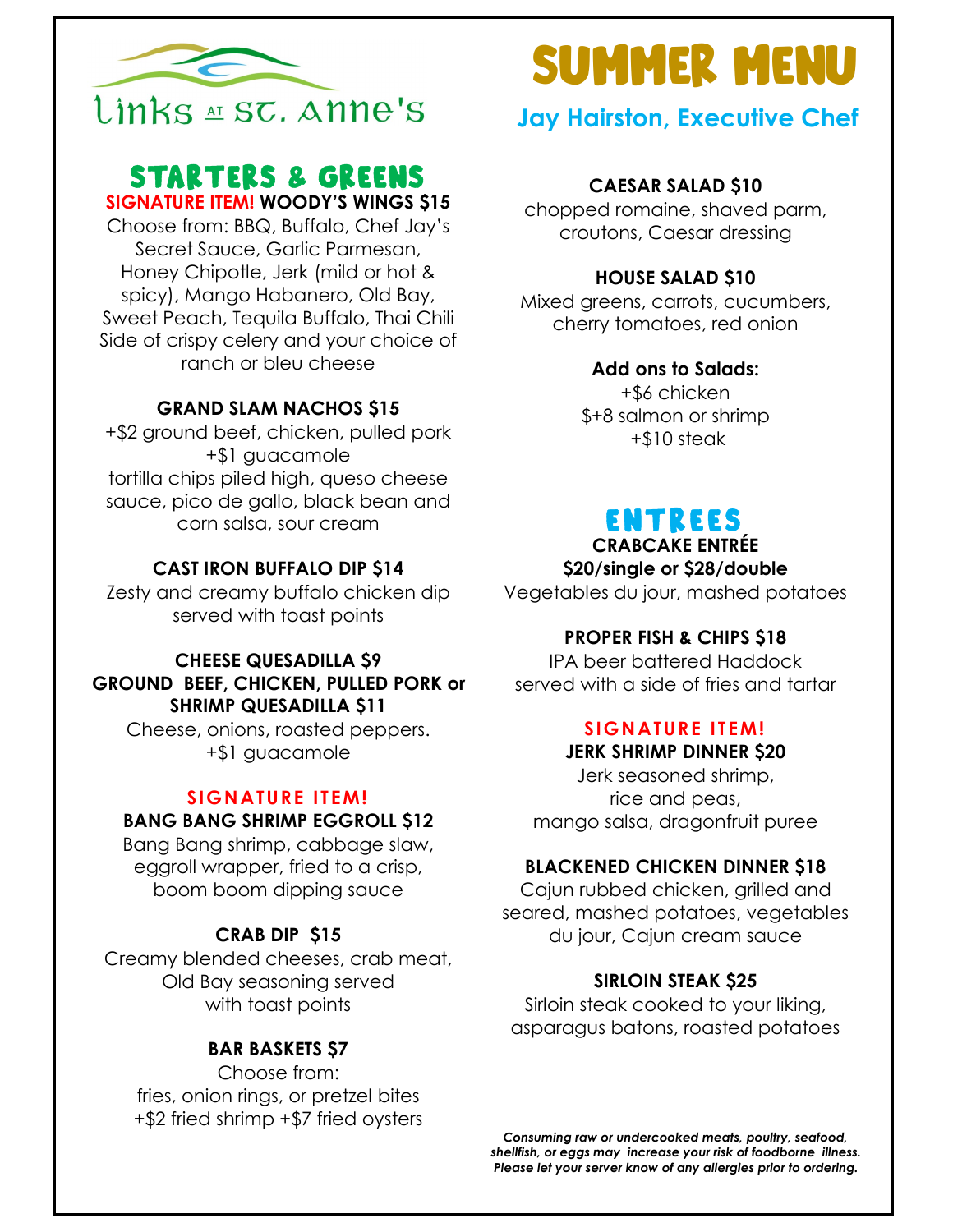

# **STARTERS & GREENS**

SIGNATURE ITEM! WOODY'S WINGS \$15

Choose from: BBQ, Buffalo, Chef Jay's Secret Sauce, Garlic Parmesan, Honey Chipotle, Jerk (mild or hot & spicy), Mango Habanero, Old Bay, Sweet Peach, Tequila Buffalo, Thai Chili Side of crispy celery and your choice of ranch or bleu cheese

#### GRAND SLAM NACHOS \$15

+\$2 ground beef, chicken, pulled pork +\$1 guacamole tortilla chips piled high, queso cheese sauce, pico de gallo, black bean and corn salsa, sour cream

#### CAST IRON BUFFALO DIP \$14

Zesty and creamy buffalo chicken dip served with toast points

#### CHEESE QUESADILLA \$9 GROUND BEEF, CHICKEN, PULLED PORK or SHRIMP QUESADILLA \$11

Cheese, onions, roasted peppers. +\$1 guacamole

#### SIGNATURE ITEM! BANG BANG SHRIMP EGGROLL \$12

Bang Bang shrimp, cabbage slaw, eggroll wrapper, fried to a crisp, boom boom dipping sauce

#### CRAB DIP \$15

Creamy blended cheeses, crab meat, Old Bay seasoning served with toast points

#### BAR BASKETS \$7

Choose from: fries, onion rings, or pretzel bites +\$2 fried shrimp +\$7 fried oysters

# **SUMMER MENU**

# Jay Hairston, Executive Chef

#### CAESAR SALAD \$10

chopped romaine, shaved parm, croutons, Caesar dressing

#### HOUSE SALAD \$10

Mixed greens, carrots, cucumbers, cherry tomatoes, red onion

#### Add ons to Salads:

+\$6 chicken \$+8 salmon or shrimp +\$10 steak

# **ENTREES**

CRABCAKE ENTRÉE

\$20/single or \$28/double

Vegetables du jour, mashed potatoes

#### PROPER FISH & CHIPS \$18

IPA beer battered Haddock served with a side of fries and tartar

# SIGNATURE ITEM!

JERK SHRIMP DINNER \$20

Jerk seasoned shrimp, rice and peas, mango salsa, dragonfruit puree

#### BLACKENED CHICKEN DINNER \$18

Cajun rubbed chicken, grilled and seared, mashed potatoes, vegetables du jour, Cajun cream sauce

#### SIRLOIN STEAK \$25

Sirloin steak cooked to your liking, asparagus batons, roasted potatoes

Consuming raw or undercooked meats, poultry, seafood, shellfish, or eggs may increase your risk of foodborne illness. Please let your server know of any allergies prior to ordering.